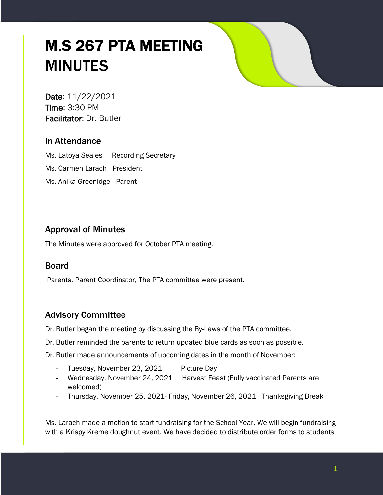# M.S 267 PTA MEETING MINUTES

Date: 11/22/2021 Time: 3:30 PM Facilitator: Dr. Butler

# In Attendance

Ms. Latoya Seales Recording Secretary Ms. Carmen Larach President Ms. Anika Greenidge Parent

# Approval of Minutes

The Minutes were approved for October PTA meeting.

# Board

Parents, Parent Coordinator, The PTA committee were present.

# Advisory Committee

Dr. Butler began the meeting by discussing the By-Laws of the PTA committee.

Dr. Butler reminded the parents to return updated blue cards as soon as possible.

Dr. Butler made announcements of upcoming dates in the month of November:

- Tuesday, November 23, 2021 Picture Day
- Wednesday, November 24, 2021 Harvest Feast (Fully vaccinated Parents are welcomed)
- Thursday, November 25, 2021- Friday, November 26, 2021 Thanksgiving Break

Ms. Larach made a motion to start fundraising for the School Year. We will begin fundraising with a Krispy Kreme doughnut event. We have decided to distribute order forms to students